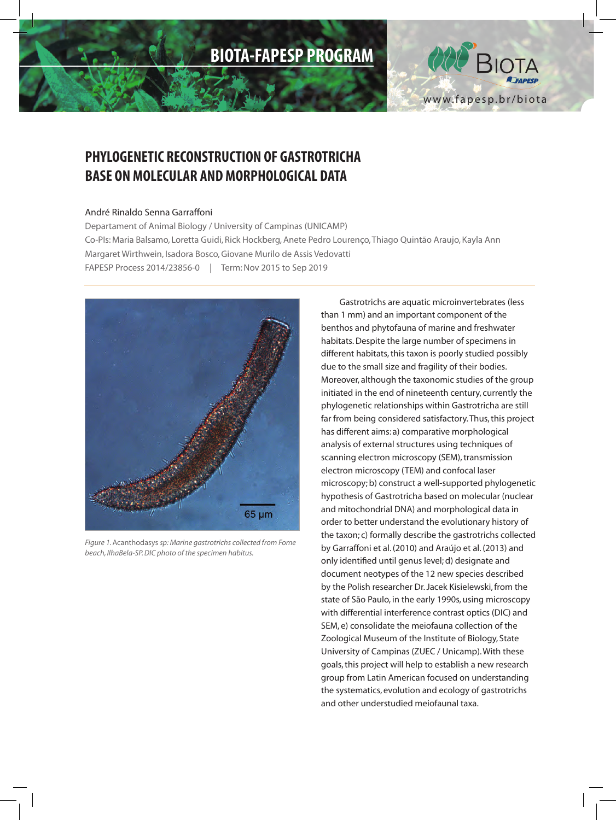# **BIOTA-FAPESP PROGRAM**



## **PHYLOGENETIC RECONSTRUCTION OF GASTROTRICHA BASE ON MOLECULAR AND MORPHOLOGICAL DATA**

#### André Rinaldo Senna Garraffoni

Departament of Animal Biology / University of Campinas (UNICAMP) Co-PIs: Maria Balsamo, Loretta Guidi, Rick Hockberg, Anete Pedro Lourenço, Thiago Quintão Araujo, Kayla Ann Margaret Wirthwein, Isadora Bosco, Giovane Murilo de Assis Vedovatti FAPESP Process 2014/23856-0 *|* Term: Nov 2015 to Sep 2019



*Figure 1.* Acanthodasys *sp: Marine gastrotrichs collected from Fome beach, IlhaBela-SP. DIC photo of the specimen habitus.* 

Gastrotrichs are aquatic microinvertebrates (less than 1 mm) and an important component of the benthos and phytofauna of marine and freshwater habitats. Despite the large number of specimens in different habitats, this taxon is poorly studied possibly due to the small size and fragility of their bodies. Moreover, although the taxonomic studies of the group initiated in the end of nineteenth century, currently the phylogenetic relationships within Gastrotricha are still far from being considered satisfactory. Thus, this project has different aims: a) comparative morphological analysis of external structures using techniques of scanning electron microscopy (SEM), transmission electron microscopy (TEM) and confocal laser microscopy; b) construct a well-supported phylogenetic hypothesis of Gastrotricha based on molecular (nuclear and mitochondrial DNA) and morphological data in order to better understand the evolutionary history of the taxon; c) formally describe the gastrotrichs collected by Garraffoni et al. (2010) and Araújo et al. (2013) and only identified until genus level; d) designate and document neotypes of the 12 new species described by the Polish researcher Dr. Jacek Kisielewski, from the state of São Paulo, in the early 1990s, using microscopy with differential interference contrast optics (DIC) and SEM, e) consolidate the meiofauna collection of the Zoological Museum of the Institute of Biology, State University of Campinas (ZUEC / Unicamp). With these goals, this project will help to establish a new research group from Latin American focused on understanding the systematics, evolution and ecology of gastrotrichs and other understudied meiofaunal taxa.